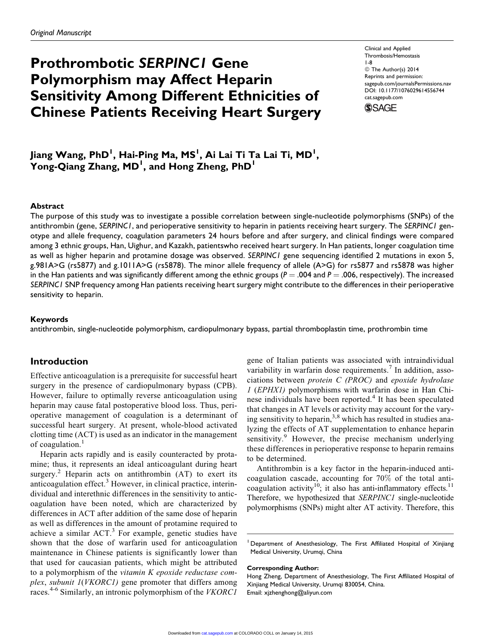# Prothrombotic SERPINC1 Gene Polymorphism may Affect Heparin Sensitivity Among Different Ethnicities of Chinese Patients Receiving Heart Surgery

Clinical and Applied Thrombosis/Hemostasis 1-8 © The Author(s) 2014 Reprints and permission: [sagepub.com/journalsPermissions.nav](http://www.sagepub.com/journalsPermissions.nav) DOI: 10.1177/1076029614556744 [cat.sagepub.com](http://cat.sagepub.com)

**SSAGE** 

Jiang Wang, PhD<sup>I</sup>, Hai-Ping Ma, MS<sup>I</sup>, Ai Lai Ti Ta Lai Ti, MD<sup>I</sup>, Yong-Qiang Zhang, MD<sup>1</sup>, and Hong Zheng, PhD<sup>1</sup>

#### Abstract

The purpose of this study was to investigate a possible correlation between single-nucleotide polymorphisms (SNPs) of the antithrombin (gene, SERPINC1, and perioperative sensitivity to heparin in patients receiving heart surgery. The SERPINC1 genotype and allele frequency, coagulation parameters 24 hours before and after surgery, and clinical findings were compared among 3 ethnic groups, Han, Uighur, and Kazakh, patientswho received heart surgery. In Han patients, longer coagulation time as well as higher heparin and protamine dosage was observed. SERPINC1 gene sequencing identified 2 mutations in exon 5, g.981A>G (rs5877) and g.1011A>G (rs5878). The minor allele frequency of allele (A>G) for rs5877 and rs5878 was higher in the Han patients and was significantly different among the ethnic groups ( $P = .004$  and  $P = .006$ , respectively). The increased SERPINC1 SNP frequency among Han patients receiving heart surgery might contribute to the differences in their perioperative sensitivity to heparin.

#### Keywords

antithrombin, single-nucleotide polymorphism, cardiopulmonary bypass, partial thromboplastin time, prothrombin time

## Introduction

Effective anticoagulation is a prerequisite for successful heart surgery in the presence of cardiopulmonary bypass (CPB). However, failure to optimally reverse anticoagulation using heparin may cause fatal postoperative blood loss. Thus, perioperative management of coagulation is a determinant of successful heart surgery. At present, whole-blood activated clotting time (ACT) is used as an indicator in the management of coagulation.<sup>1</sup>

Heparin acts rapidly and is easily counteracted by protamine; thus, it represents an ideal anticoagulant during heart surgery.<sup>2</sup> Heparin acts on antithrombin  $(AT)$  to exert its anticoagulation effect. $3$  However, in clinical practice, interindividual and interethnic differences in the sensitivity to anticoagulation have been noted, which are characterized by differences in ACT after addition of the same dose of heparin as well as differences in the amount of protamine required to achieve a similar  $ACT.<sup>3</sup>$  For example, genetic studies have shown that the dose of warfarin used for anticoagulation maintenance in Chinese patients is significantly lower than that used for caucasian patients, which might be attributed to a polymorphism of the vitamin K epoxide reductase complex, subunit 1(VKORC1) gene promoter that differs among races.<sup>4-6</sup> Similarly, an intronic polymorphism of the *VKORC1* 

gene of Italian patients was associated with intraindividual variability in warfarin dose requirements.<sup>7</sup> In addition, associations between protein  $C$  (PROC) and epoxide hydrolase 1 (EPHX1) polymorphisms with warfarin dose in Han Chinese individuals have been reported.<sup>4</sup> It has been speculated that changes in AT levels or activity may account for the varying sensitivity to heparin,<sup>3,8</sup> which has resulted in studies analyzing the effects of AT supplementation to enhance heparin sensitivity.<sup>9</sup> However, the precise mechanism underlying these differences in perioperative response to heparin remains to be determined.

Antithrombin is a key factor in the heparin-induced anticoagulation cascade, accounting for 70% of the total anticoagulation activity<sup>10</sup>; it also has anti-inflammatory effects.<sup>11</sup> Therefore, we hypothesized that SERPINC1 single-nucleotide polymorphisms (SNPs) might alter AT activity. Therefore, this

<sup>1</sup> Department of Anesthesiology, The First Affiliated Hospital of Xinjiang Medical University, Urumqi, China

#### Corresponding Author:

Hong Zheng, Department of Anesthesiology, The First Affiliated Hospital of Xinjiang Medical University, Urumqi 830054, China. Email: xjzhenghong@aliyun.com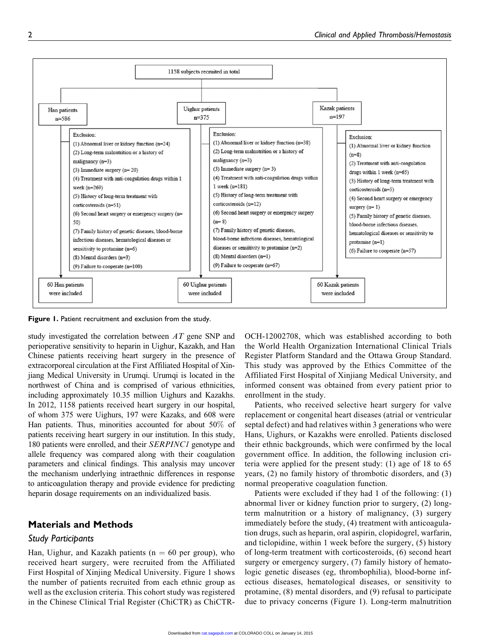

Figure 1. Patient recruitment and exclusion from the study.

study investigated the correlation between AT gene SNP and perioperative sensitivity to heparin in Uighur, Kazakh, and Han Chinese patients receiving heart surgery in the presence of extracorporeal circulation at the First Affiliated Hospital of Xinjiang Medical University in Urumqi. Urumqi is located in the northwest of China and is comprised of various ethnicities, including approximately 10.35 million Uighurs and Kazakhs. In 2012, 1158 patients received heart surgery in our hospital, of whom 375 were Uighurs, 197 were Kazaks, and 608 were Han patients. Thus, minorities accounted for about 50% of patients receiving heart surgery in our institution. In this study, 180 patients were enrolled, and their SERPINC1 genotype and allele frequency was compared along with their coagulation parameters and clinical findings. This analysis may uncover the mechanism underlying intraethnic differences in response to anticoagulation therapy and provide evidence for predicting heparin dosage requirements on an individualized basis.

## Materials and Methods

#### Study Participants

Han, Uighur, and Kazakh patients ( $n = 60$  per group), who received heart surgery, were recruited from the Affiliated First Hospital of Xinjing Medical University. Figure 1 shows the number of patients recruited from each ethnic group as well as the exclusion criteria. This cohort study was registered in the Chinese Clinical Trial Register (ChiCTR) as ChiCTR-

OCH-12002708, which was established according to both the World Health Organization International Clinical Trials Register Platform Standard and the Ottawa Group Standard. This study was approved by the Ethics Committee of the Affiliated First Hospital of Xinjiang Medical University, and informed consent was obtained from every patient prior to enrollment in the study.

Patients, who received selective heart surgery for valve replacement or congenital heart diseases (atrial or ventricular septal defect) and had relatives within 3 generations who were Hans, Uighurs, or Kazakhs were enrolled. Patients disclosed their ethnic backgrounds, which were confirmed by the local government office. In addition, the following inclusion criteria were applied for the present study: (1) age of 18 to 65 years, (2) no family history of thrombotic disorders, and (3) normal preoperative coagulation function.

Patients were excluded if they had 1 of the following: (1) abnormal liver or kidney function prior to surgery, (2) longterm malnutrition or a history of malignancy, (3) surgery immediately before the study, (4) treatment with anticoagulation drugs, such as heparin, oral aspirin, clopidogrel, warfarin, and ticlopidine, within 1 week before the surgery, (5) history of long-term treatment with corticosteroids, (6) second heart surgery or emergency surgery, (7) family history of hematologic genetic diseases (eg, thrombophilia), blood-borne infectious diseases, hematological diseases, or sensitivity to protamine, (8) mental disorders, and (9) refusal to participate due to privacy concerns (Figure 1). Long-term malnutrition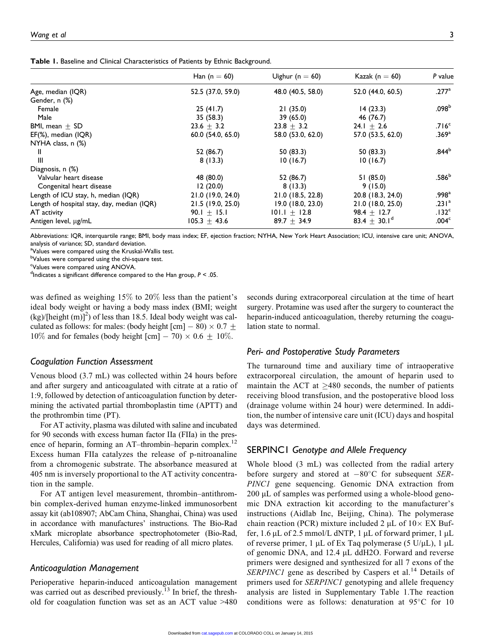Table 1. Baseline and Clinical Characteristics of Patients by Ethnic Background.

|                                            | Han (n = 60)      | Uighur (n $= 60$ ) | Kazak (n $= 60$ ) | P value           |
|--------------------------------------------|-------------------|--------------------|-------------------|-------------------|
| Age, median (IQR)                          | 52.5 (37.0, 59.0) | 48.0 (40.5, 58.0)  | 52.0 (44.0, 60.5) | $.277^{\rm a}$    |
| Gender, n (%)                              |                   |                    |                   |                   |
| Female                                     | 25(41.7)          | 21(35.0)           | 14(23.3)          | .098 <sup>b</sup> |
| Male                                       | 35(58.3)          | 39(65.0)           | 46 (76.7)         |                   |
| BMI, mean $\pm$ SD                         | $23.6 \pm 3.2$    | $23.8 \pm 3.2$     | $24.1 + 2.6$      | .716 <sup>c</sup> |
| $EF(\%)$ , median (IQR)                    | 60.0 (54.0, 65.0) | 58.0 (53.0, 62.0)  | 57.0 (53.5, 62.0) | .369 <sup>a</sup> |
| NYHA class, n (%)                          |                   |                    |                   |                   |
| $\mathbf{I}$                               | 52 (86.7)         | 50(83.3)           | 50 (83.3)         | $.844^{b}$        |
| Ш                                          | 8(13.3)           | 10(16.7)           | 10(16.7)          |                   |
| Diagnosis, n (%)                           |                   |                    |                   |                   |
| Valvular heart disease                     | 48 (80.0)         | 52 (86.7)          | 51 (85.0)         | .586 <sup>b</sup> |
| Congenital heart disease                   | 12(20.0)          | 8(13.3)            | 9(15.0)           |                   |
| Length of ICU stay, h, median (IQR)        | 21.0 (19.0, 24.0) | 21.0 (18.5, 22.8)  | 20.8 (18.3, 24.0) | .998 <sup>a</sup> |
| Length of hospital stay, day, median (IQR) | 21.5 (19.0, 25.0) | 19.0(18.0, 23.0)   | 21.0 (18.0, 25.0) | .231 <sup>a</sup> |
| AT activity                                | 90.1 $\pm$ 15.1   | $101.1 \pm 12.8$   | $98.4 + 12.7$     | .132 <sup>c</sup> |
| Antigen level, µg/mL                       | $105.3 + 43.6$    | $89.7 + 34.9$      | $83.4 \pm 30.1^d$ | .004 <sup>c</sup> |

Abbreviations: IQR, interquartile range; BMI, body mass index; EF, ejection fraction; NYHA, New York Heart Association; ICU, intensive care unit; ANOVA, analysis of variance; SD, standard deviation.

<sup>a</sup>Values were compared using the Kruskal-Wallis test.

<sup>b</sup>Values were compared using the chi-square test.

Values were compared using ANOVA.

<sup>d</sup>Indicates a significant difference compared to the Han group,  $P < .05$ .

was defined as weighing 15% to 20% less than the patient's ideal body weight or having a body mass index (BMI; weight  $(kg)/[\text{height (m)}^2]$  of less than 18.5. Ideal body weight was calculated as follows: for males: (body height [cm]  $- 80 \times 0.7 \pm 1$ 10% and for females (body height [cm]  $-70 \times 0.6 \pm 10$ %.

## Coagulation Function Assessment

Venous blood (3.7 mL) was collected within 24 hours before and after surgery and anticoagulated with citrate at a ratio of 1:9, followed by detection of anticoagulation function by determining the activated partial thromboplastin time (APTT) and the prothrombin time (PT).

For AT activity, plasma was diluted with saline and incubated for 90 seconds with excess human factor IIa (FIIa) in the presence of heparin, forming an AT–thrombin–heparin complex.<sup>12</sup> Excess human FIIa catalyzes the release of p-nitroanaline from a chromogenic substrate. The absorbance measured at 405 nm is inversely proportional to the AT activity concentration in the sample.

For AT antigen level measurement, thrombin–antithrombin complex-derived human enzyme-linked immunosorbent assay kit (ab108907; AbCam China, Shanghai, China) was used in accordance with manufactures' instructions. The Bio-Rad xMark microplate absorbance spectrophotometer (Bio-Rad, Hercules, California) was used for reading of all micro plates.

#### Anticoagulation Management

Perioperative heparin-induced anticoagulation management was carried out as described previously.<sup>13</sup> In brief, the threshold for coagulation function was set as an ACT value >480 seconds during extracorporeal circulation at the time of heart surgery. Protamine was used after the surgery to counteract the heparin-induced anticoagulation, thereby returning the coagulation state to normal.

## Peri- and Postoperative Study Parameters

The turnaround time and auxiliary time of intraoperative extracorporeal circulation, the amount of heparin used to maintain the ACT at  $\geq 480$  seconds, the number of patients receiving blood transfusion, and the postoperative blood loss (drainage volume within 24 hour) were determined. In addition, the number of intensive care unit (ICU) days and hospital days was determined.

## SERPINC1 Genotype and Allele Frequency

Whole blood (3 mL) was collected from the radial artery before surgery and stored at  $-80^{\circ}$ C for subsequent SER-PINC1 gene sequencing. Genomic DNA extraction from 200 μL of samples was performed using a whole-blood genomic DNA extraction kit according to the manufacturer's instructions (Aidlab Inc, Beijing, China). The polymerase chain reaction (PCR) mixture included 2  $\mu$ L of 10 $\times$  EX Buffer,  $1.6 \mu L$  of 2.5 mmol/L dNTP, 1  $\mu L$  of forward primer, 1  $\mu L$ of reverse primer, 1  $\mu$ L of Ex Taq polymerase (5 U/ $\mu$ L), 1  $\mu$ L of genomic DNA, and 12.4 mL ddH2O. Forward and reverse primers were designed and synthesized for all 7 exons of the SERPINC1 gene as described by Caspers et al.<sup>14</sup> Details of primers used for *SERPINC1* genotyping and allele frequency analysis are listed in Supplementary Table 1.The reaction conditions were as follows: denaturation at  $95^{\circ}$ C for 10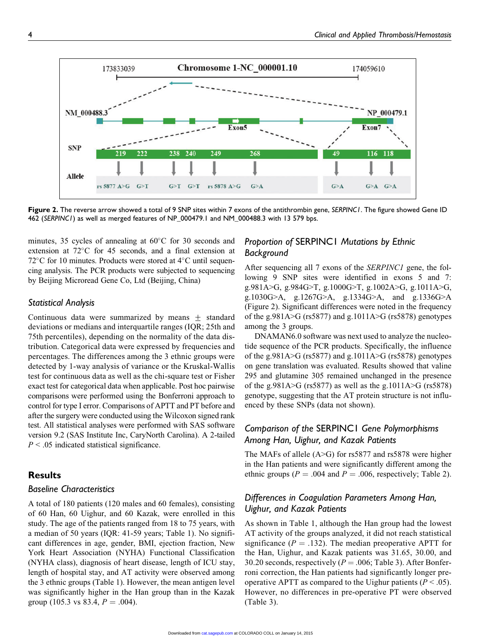

Figure 2. The reverse arrow showed a total of 9 SNP sites within 7 exons of the antithrombin gene, SERPINC1. The figure showed Gene ID 462 (SERPINC1) as well as merged features of NP\_000479.1 and NM\_000488.3 with 13 579 bps.

minutes, 35 cycles of annealing at  $60^{\circ}$ C for 30 seconds and extension at  $72^{\circ}$ C for 45 seconds, and a final extension at 72 $\rm ^{\circ}C$  for 10 minutes. Products were stored at 4 $\rm ^{\circ}C$  until sequencing analysis. The PCR products were subjected to sequencing by Beijing Microread Gene Co, Ltd (Beijing, China)

## Statistical Analysis

Continuous data were summarized by means  $\pm$  standard deviations or medians and interquartile ranges (IQR; 25th and 75th percentiles), depending on the normality of the data distribution. Categorical data were expressed by frequencies and percentages. The differences among the 3 ethnic groups were detected by 1-way analysis of variance or the Kruskal-Wallis test for continuous data as well as the chi-square test or Fisher exact test for categorical data when applicable. Post hoc pairwise comparisons were performed using the Bonferroni approach to control for type I error. Comparisons of APTT and PT before and after the surgery were conducted using the Wilcoxon signed rank test. All statistical analyses were performed with SAS software version 9.2 (SAS Institute Inc, CaryNorth Carolina). A 2-tailed  $P < .05$  indicated statistical significance.

# **Results**

## Baseline Characteristics

A total of 180 patients (120 males and 60 females), consisting of 60 Han, 60 Uighur, and 60 Kazak, were enrolled in this study. The age of the patients ranged from 18 to 75 years, with a median of 50 years (IQR: 41-59 years; Table 1). No significant differences in age, gender, BMI, ejection fraction, New York Heart Association (NYHA) Functional Classification (NYHA class), diagnosis of heart disease, length of ICU stay, length of hospital stay, and AT activity were observed among the 3 ethnic groups (Table 1). However, the mean antigen level was significantly higher in the Han group than in the Kazak group (105.3 vs 83.4,  $P = .004$ ).

# Proportion of SERPINC1 Mutations by Ethnic Background

After sequencing all 7 exons of the *SERPINC1* gene, the following 9 SNP sites were identified in exons 5 and 7: g.981A>G, g.984G>T, g.1000G>T, g.1002A>G, g.1011A>G, g.1030G>A, g.1267G>A, g.1334G>A, and g.1336G>A (Figure 2). Significant differences were noted in the frequency of the g.981A>G (rs5877) and g.1011A>G (rs5878) genotypes among the 3 groups.

DNAMAN6.0 software was next used to analyze the nucleotide sequence of the PCR products. Specifically, the influence of the g.981A $>$ G (rs5877) and g.1011A $>$ G (rs5878) genotypes on gene translation was evaluated. Results showed that valine 295 and glutamine 305 remained unchanged in the presence of the g.981A $>$ G (rs5877) as well as the g.1011A $>$ G (rs5878) genotype, suggesting that the AT protein structure is not influenced by these SNPs (data not shown).

# Comparison of the SERPINC1 Gene Polymorphisms Among Han, Uighur, and Kazak Patients

The MAFs of allele (A>G) for rs5877 and rs5878 were higher in the Han patients and were significantly different among the ethnic groups ( $P = .004$  and  $P = .006$ , respectively; Table 2).

# Differences in Coagulation Parameters Among Han, Uighur, and Kazak Patients

As shown in Table 1, although the Han group had the lowest AT activity of the groups analyzed, it did not reach statistical significance ( $P = .132$ ). The median preoperative APTT for the Han, Uighur, and Kazak patients was 31.65, 30.00, and 30.20 seconds, respectively ( $P = .006$ ; Table 3). After Bonferroni correction, the Han patients had significantly longer preoperative APTT as compared to the Uighur patients ( $P < .05$ ). However, no differences in pre-operative PT were observed (Table 3).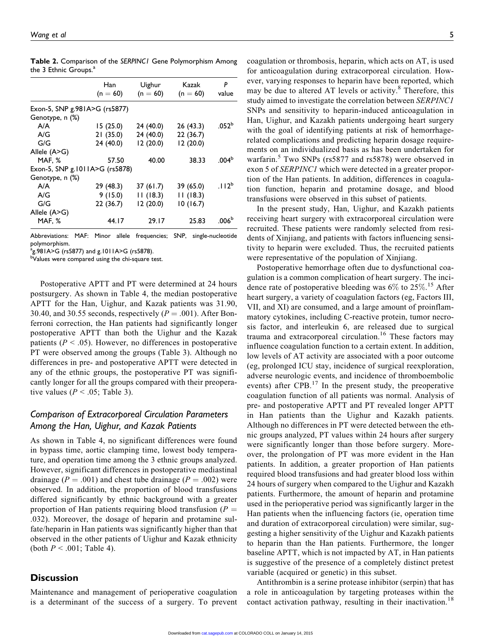|                                | Han<br>$(n = 60)$ | Uighur<br>$(n = 60)$ | Kazak<br>$(n = 60)$ | P<br>value        |
|--------------------------------|-------------------|----------------------|---------------------|-------------------|
| Exon-5, SNP g.981A>G (rs5877)  |                   |                      |                     |                   |
| Genotype, n (%)                |                   |                      |                     |                   |
| A/A                            | 15(25.0)          | 24 (40.0)            | 26(43.3)            | .052 <sup>b</sup> |
| A/G                            | 21(35.0)          | 24(40.0)             | 22(36.7)            |                   |
| G/G                            | 24 (40.0)         | 12(20.0)             | 12(20.0)            |                   |
| Allele (A>G)                   |                   |                      |                     |                   |
| MAF. %                         | 57.50             | 40.00                | 38.33               | .004 <sup>b</sup> |
| Exon-5, SNP g.1011A>G (rs5878) |                   |                      |                     |                   |
| Genotype, n (%)                |                   |                      |                     |                   |
| A/A                            | 29 (48.3)         | 37(61.7)             | 39 (65.0)           | .112 <sup>b</sup> |
| A/G                            | 9(15.0)           | 11(18.3)             | 11(18.3)            |                   |
| G/G                            | 22(36.7)          | 12(20.0)             | 10(16.7)            |                   |
| Allele (A>G)                   |                   |                      |                     |                   |
| MAF, %                         | 44.17             | 29.17                | 25.83               | .006 <sup>b</sup> |

Table 2. Comparison of the SERPINC1 Gene Polymorphism Among the 3 Ethnic Groups.<sup>a</sup>

Abbreviations: MAF: Minor allele frequencies; SNP, single-nucleotide polymorphism.

a g.981A>G (rs5877) and g.1011A>G (rs5878).

<sup>b</sup>Values were compared using the chi-square test.

Postoperative APTT and PT were determined at 24 hours postsurgery. As shown in Table 4, the median postoperative APTT for the Han, Uighur, and Kazak patients was 31.90, 30.40, and 30.55 seconds, respectively ( $P = .001$ ). After Bonferroni correction, the Han patients had significantly longer postoperative APTT than both the Uighur and the Kazak patients ( $P < .05$ ). However, no differences in postoperative PT were observed among the groups (Table 3). Although no differences in pre- and postoperative APTT were detected in any of the ethnic groups, the postoperative PT was significantly longer for all the groups compared with their preoperative values ( $P < .05$ ; Table 3).

# Comparison of Extracorporeal Circulation Parameters Among the Han, Uighur, and Kazak Patients

As shown in Table 4, no significant differences were found in bypass time, aortic clamping time, lowest body temperature, and operation time among the 3 ethnic groups analyzed. However, significant differences in postoperative mediastinal drainage ( $P = .001$ ) and chest tube drainage ( $P = .002$ ) were observed. In addition, the proportion of blood transfusions differed significantly by ethnic background with a greater proportion of Han patients requiring blood transfusion ( $P =$ .032). Moreover, the dosage of heparin and protamine sulfate/heparin in Han patients was significantly higher than that observed in the other patients of Uighur and Kazak ethnicity (both  $P < .001$ ; Table 4).

## **Discussion**

Maintenance and management of perioperative coagulation is a determinant of the success of a surgery. To prevent

coagulation or thrombosis, heparin, which acts on AT, is used for anticoagulation during extracorporeal circulation. However, varying responses to heparin have been reported, which may be due to altered AT levels or activity.<sup>8</sup> Therefore, this study aimed to investigate the correlation between SERPINC1 SNPs and sensitivity to heparin-induced anticoagulation in Han, Uighur, and Kazakh patients undergoing heart surgery with the goal of identifying patients at risk of hemorrhagerelated complications and predicting heparin dosage requirements on an individualized basis as has been undertaken for warfarin.<sup>5</sup> Two SNPs (rs5877 and rs5878) were observed in exon 5 of SERPINC1 which were detected in a greater proportion of the Han patients. In addition, differences in coagulation function, heparin and protamine dosage, and blood transfusions were observed in this subset of patients.

In the present study, Han, Uighur, and Kazakh patients receiving heart surgery with extracorporeal circulation were recruited. These patients were randomly selected from residents of Xinjiang, and patients with factors influencing sensitivity to heparin were excluded. Thus, the recruited patients were representative of the population of Xinjiang.

Postoperative hemorrhage often due to dysfunctional coagulation is a common complication of heart surgery. The incidence rate of postoperative bleeding was 6% to 25%. <sup>15</sup> After heart surgery, a variety of coagulation factors (eg, Factors III, VII, and XI) are consumed, and a large amount of proinflammatory cytokines, including C-reactive protein, tumor necrosis factor, and interleukin 6, are released due to surgical trauma and extracorporeal circulation.<sup>16</sup> These factors may influence coagulation function to a certain extent. In addition, low levels of AT activity are associated with a poor outcome (eg, prolonged ICU stay, incidence of surgical reexploration, adverse neurologic events, and incidence of thromboembolic events) after  $CPB$ .<sup>17</sup> In the present study, the preoperative coagulation function of all patients was normal. Analysis of pre- and postoperative APTT and PT revealed longer APTT in Han patients than the Uighur and Kazakh patients. Although no differences in PT were detected between the ethnic groups analyzed, PT values within 24 hours after surgery were significantly longer than those before surgery. Moreover, the prolongation of PT was more evident in the Han patients. In addition, a greater proportion of Han patients required blood transfusions and had greater blood loss within 24 hours of surgery when compared to the Uighur and Kazakh patients. Furthermore, the amount of heparin and protamine used in the perioperative period was significantly larger in the Han patients when the influencing factors (ie, operation time and duration of extracorporeal circulation) were similar, suggesting a higher sensitivity of the Uighur and Kazakh patients to heparin than the Han patients. Furthermore, the longer baseline APTT, which is not impacted by AT, in Han patients is suggestive of the presence of a completely distinct pretest variable (acquired or genetic) in this subset.

Antithrombin is a serine protease inhibitor (serpin) that has a role in anticoagulation by targeting proteases within the contact activation pathway, resulting in their inactivation.<sup>18</sup>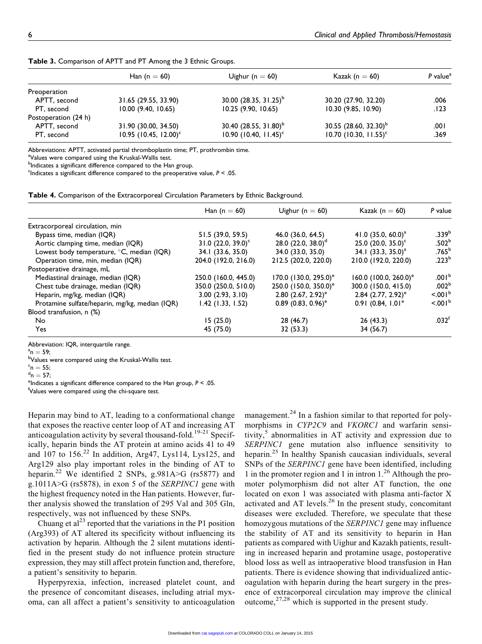|                      | Han (n = 60)                        | Uighur (n $= 60$ )                  | Kazak (n $= 60$ )                   | $P$ value <sup><math>a</math></sup> |  |
|----------------------|-------------------------------------|-------------------------------------|-------------------------------------|-------------------------------------|--|
| Preoperation         |                                     |                                     |                                     |                                     |  |
| APTT, second         | 31.65 (29.55, 33.90)                | 30.00 $(28.35, 31.25)^{b}$          | 30.20 (27.90, 32.20)                | .006                                |  |
| PT, second           | $10.00$ (9.40, 10.65)               | 10.25(9.90, 10.65)                  | 10.30(9.85, 10.90)                  | .123                                |  |
| Postoperation (24 h) |                                     |                                     |                                     |                                     |  |
| APTT, second         | 31.90 (30.00, 34.50)                | 30.40 (28.55, 31.80) <sup>b</sup>   | 30.55 (28.60, 32.30) <sup>b</sup>   | ا 00.                               |  |
| PT, second           | $10.95$ (10.45, 12.00) <sup>c</sup> | $10.90$ (10.40, 11.45) <sup>c</sup> | $10.70$ (10.30, 11.55) <sup>c</sup> | .369                                |  |

Table 3. Comparison of APTT and PT Among the 3 Ethnic Groups.

Abbreviations: APTT, activated partial thromboplastin time; PT, prothrombin time.

<sup>a</sup>Values were compared using the Kruskal-Wallis test.

<sup>b</sup>Indicates a significant difference compared to the Han group.

<sup>c</sup>Indicates a significant difference compared to the preoperative value,  $P < 0.05$ .

| <b>Table 4.</b> Comparison of the Extracorporeal Circulation Parameters by Ethnic Background. |  |  |  |
|-----------------------------------------------------------------------------------------------|--|--|--|
|-----------------------------------------------------------------------------------------------|--|--|--|

|                                                    | Han (n = 60)          | Uighur ( $n = 60$ )                 | Kazak (n $= 60$ )                   | P value             |
|----------------------------------------------------|-----------------------|-------------------------------------|-------------------------------------|---------------------|
| Extracorporeal circulation, min                    |                       |                                     |                                     |                     |
| Bypass time, median (IQR)                          | 51.5 (39.0, 59.5)     | 46.0 (36.0, 64.5)                   | 41.0 $(35.0, 60.0)^a$               | .339 <sup>b</sup>   |
| Aortic clamping time, median (IQR)                 | 31.0 $(22.0, 39.0)^c$ | 28.0 $(22.0, 38.0)^d$               | 25.0 $(20.0, 35.0)^c$               | .502 <sup>b</sup>   |
| Lowest body temperature, $\degree$ C, median (IQR) | 34.1 (33.6, 35.0)     | 34.0 (33.0, 35.0)                   | 34.1 $(33.3, 35.0)^a$               | $.765^b$            |
| Operation time, min, median (IQR)                  | 204.0 (192.0, 216.0)  | 212.5 (202.0, 220.0)                | 210.0 (192.0, 220.0)                | .223 <sup>b</sup>   |
| Postoperative drainage, mL                         |                       |                                     |                                     |                     |
| Mediastinal drainage, median (IQR)                 | 250.0 (160.0, 445.0)  | $170.0$ (130.0, 295.0) <sup>e</sup> | $160.0$ (100.0, 260.0) <sup>e</sup> | .001 <sup>b</sup>   |
| Chest tube drainage, median (IQR)                  | 350.0 (250.0, 510.0)  | 250.0 $(150.0, 350.0)^e$            | 300.0 (150.0, 415.0)                | .002 <sup>b</sup>   |
| Heparin, mg/kg, median (IQR)                       | 3.00(2.93, 3.10)      | 2.80 $(2.67, 2.92)^e$               | $2.84$ (2.77, $2.92$ ) <sup>e</sup> | < 0.01 <sup>b</sup> |
| Protamine sulfate/heparin, mg/kg, median (IQR)     | 1.42 (1.33, 1.52)     | $0.89$ (0.83, 0.96) <sup>e</sup>    | $0.91$ (0.84, 1.01 <sup>e</sup>     | < 0.01 <sup>b</sup> |
| Blood transfusion, n (%)                           |                       |                                     |                                     |                     |
| No.                                                | 15(25.0)              | 28 (46.7)                           | 26(43.3)                            | .032 <sup>f</sup>   |
| Yes                                                | 45 (75.0)             | 32 (53.3)                           | 34 (56.7)                           |                     |

Abbreviation: IQR, interquartile range.

 $a_n = 59$ :

<sup>a</sup>n = 59;<br><sup>b</sup>Values were compared using the Kruskal-Wallis test.

 $n = 55;$  $n = 57$ ;

<sup>e</sup>Indicates a significant difference compared to the Han group,  $P < 0.05$ .

Values were compared using the chi-square test.

Heparin may bind to AT, leading to a conformational change that exposes the reactive center loop of AT and increasing AT anticoagulation activity by several thousand-fold.<sup>19-21</sup> Specifically, heparin binds the AT protein at amino acids 41 to 49 and  $107$  to  $156<sup>22</sup>$  In addition, Arg47, Lys114, Lys125, and Arg129 also play important roles in the binding of AT to heparin.<sup>22</sup> We identified 2 SNPs, g.981A>G ( $rs5877$ ) and g.1011A $>$ G (rs5878), in exon 5 of the *SERPINC1* gene with the highest frequency noted in the Han patients. However, further analysis showed the translation of 295 Val and 305 Gln, respectively, was not influenced by these SNPs.

Chuang et al<sup>23</sup> reported that the variations in the P1 position (Arg393) of AT altered its specificity without influencing its activation by heparin. Although the 2 silent mutations identified in the present study do not influence protein structure expression, they may still affect protein function and, therefore, a patient's sensitivity to heparin.

Hyperpyrexia, infection, increased platelet count, and the presence of concomitant diseases, including atrial myxoma, can all affect a patient's sensitivity to anticoagulation

management.<sup>24</sup> In a fashion similar to that reported for polymorphisms in CYP2C9 and VKORC1 and warfarin sensitivity, $5$  abnormalities in AT activity and expression due to SERPINC1 gene mutation also influence sensitivity to heparin.<sup>25</sup> In healthy Spanish caucasian individuals, several SNPs of the SERPINC1 gene have been identified, including 1 in the promoter region and 1 in intron 1.<sup>26</sup> Although the promoter polymorphism did not alter AT function, the one located on exon 1 was associated with plasma anti-factor X activated and AT levels. $26$  In the present study, concomitant diseases were excluded. Therefore, we speculate that these homozygous mutations of the *SERPINC1* gene may influence the stability of AT and its sensitivity to heparin in Han patients as compared with Uighur and Kazakh patients, resulting in increased heparin and protamine usage, postoperative blood loss as well as intraoperative blood transfusion in Han patients. There is evidence showing that individualized anticoagulation with heparin during the heart surgery in the presence of extracorporeal circulation may improve the clinical outcome, $27,28$  which is supported in the present study.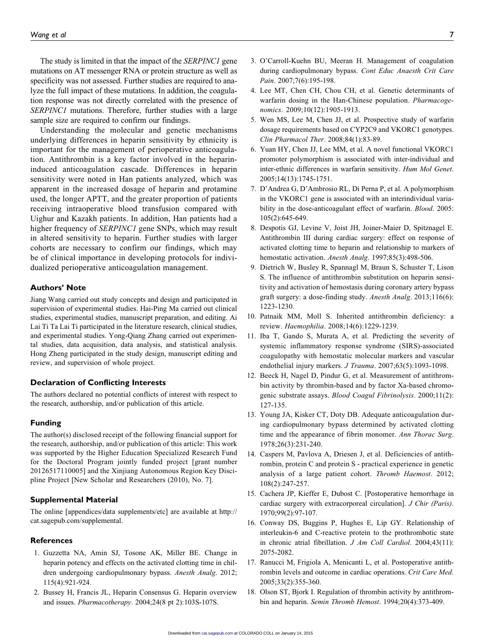The study is limited in that the impact of the *SERPINC1* gene mutations on AT messenger RNA or protein structure as well as specificity was not assessed. Further studies are required to analyze the full impact of these mutations. In addition, the coagulation response was not directly correlated with the presence of SERPINC1 mutations. Therefore, further studies with a large sample size are required to confirm our findings.

Understanding the molecular and genetic mechanisms underlying differences in heparin sensitivity by ethnicity is important for the management of perioperative anticoagulation. Antithrombin is a key factor involved in the heparininduced anticoagulation cascade. Differences in heparin sensitivity were noted in Han patients analyzed, which was apparent in the increased dosage of heparin and protamine used, the longer APTT, and the greater proportion of patients receiving intraoperative blood transfusion compared with Uighur and Kazakh patients. In addition, Han patients had a higher frequency of SERPINC1 gene SNPs, which may result in altered sensitivity to heparin. Further studies with larger cohorts are necessary to confirm our findings, which may be of clinical importance in developing protocols for individualized perioperative anticoagulation management.

#### Authors' Note

Jiang Wang carried out study concepts and design and participated in supervision of experimental studies. Hai-Ping Ma carried out clinical studies, experimental studies, manuscript preparation, and editing. Ai Lai Ti Ta Lai Ti participated in the literature research, clinical studies, and experimental studies. Yong-Qiang Zhang carried out experimental studies, data acquisition, data analysis, and statistical analysis. Hong Zheng participated in the study design, manuscript editing and review, and supervision of whole project.

#### Declaration of Conflicting Interests

The authors declared no potential conflicts of interest with respect to the research, authorship, and/or publication of this article.

#### Funding

The author(s) disclosed receipt of the following financial support for the research, authorship, and/or publication of this article: This work was supported by the Higher Education Specialized Research Fund for the Doctoral Program jointly funded project [grant number 20126517110005] and the Xinjiang Autonomous Region Key Discipline Project [New Scholar and Researchers (2010), No. 7].

#### Supplemental Material

The online [appendices/data supplements/etc] are available at http:// cat.sagepub.com/supplemental.

#### **References**

- 1. Guzzetta NA, Amin SJ, Tosone AK, Miller BE. Change in heparin potency and effects on the activated clotting time in children undergoing cardiopulmonary bypass. Anesth Analg. 2012; 115(4):921-924.
- 2. Bussey H, Francis JL, Heparin Consensus G. Heparin overview and issues. Pharmacotherapy. 2004;24(8 pt 2):103S-107S.
- 3. O'Carroll-Kuehn BU, Meeran H. Management of coagulation during cardiopulmonary bypass. Cont Educ Anaesth Crit Care Pain. 2007;7(6):195-198.
- 4. Lee MT, Chen CH, Chou CH, et al. Genetic determinants of warfarin dosing in the Han-Chinese population. Pharmacogenomics. 2009;10(12):1905-1913.
- 5. Wen MS, Lee M, Chen JJ, et al. Prospective study of warfarin dosage requirements based on CYP2C9 and VKORC1 genotypes. Clin Pharmacol Ther. 2008;84(1):83-89.
- 6. Yuan HY, Chen JJ, Lee MM, et al. A novel functional VKORC1 promoter polymorphism is associated with inter-individual and inter-ethnic differences in warfarin sensitivity. Hum Mol Genet. 2005;14(13):1745-1751.
- 7. D'Andrea G, D'Ambrosio RL, Di Perna P, et al. A polymorphism in the VKORC1 gene is associated with an interindividual variability in the dose-anticoagulant effect of warfarin. Blood. 2005: 105(2):645-649.
- 8. Despotis GJ, Levine V, Joist JH, Joiner-Maier D, Spitznagel E. Antithrombin III during cardiac surgery: effect on response of activated clotting time to heparin and relationship to markers of hemostatic activation. Anesth Analg. 1997;85(3):498-506.
- 9. Dietrich W, Busley R, Spannagl M, Braun S, Schuster T, Lison S. The influence of antithrombin substitution on heparin sensitivity and activation of hemostasis during coronary artery bypass graft surgery: a dose-finding study. Anesth Analg. 2013;116(6): 1223-1230.
- 10. Patnaik MM, Moll S. Inherited antithrombin deficiency: a review. Haemophilia. 2008;14(6):1229-1239.
- 11. Iba T, Gando S, Murata A, et al. Predicting the severity of systemic inflammatory response syndrome (SIRS)-associated coagulopathy with hemostatic molecular markers and vascular endothelial injury markers. J Trauma. 2007;63(5):1093-1098.
- 12. Beeck H, Nagel D, Pindur G, et al. Measurement of antithrombin activity by thrombin-based and by factor Xa-based chromogenic substrate assays. Blood Coagul Fibrinolysis. 2000;11(2): 127-135.
- 13. Young JA, Kisker CT, Doty DB. Adequate anticoagulation during cardiopulmonary bypass determined by activated clotting time and the appearance of fibrin monomer. Ann Thorac Surg. 1978;26(3):231-240.
- 14. Caspers M, Pavlova A, Driesen J, et al. Deficiencies of antithrombin, protein C and protein S - practical experience in genetic analysis of a large patient cohort. Thromb Haemost. 2012; 108(2):247-257.
- 15. Cachera JP, Kieffer E, Dubost C. [Postoperative hemorrhage in cardiac surgery with extracorporeal circulation]. J Chir (Paris). 1970;99(2):97-107.
- 16. Conway DS, Buggins P, Hughes E, Lip GY. Relationship of interleukin-6 and C-reactive protein to the prothrombotic state in chronic atrial fibrillation. J Am Coll Cardiol. 2004;43(11): 2075-2082.
- 17. Ranucci M, Frigiola A, Menicanti L, et al. Postoperative antithrombin levels and outcome in cardiac operations. Crit Care Med. 2005;33(2):355-360.
- 18. Olson ST, Bjork I. Regulation of thrombin activity by antithrombin and heparin. Semin Thromb Hemost. 1994;20(4):373-409.